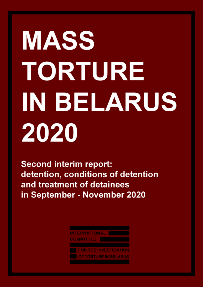# MASS TORTURE IN BELARUS 2020

**Second interim report:** detention, conditions of detention and treatment of detainees in September - November 2020

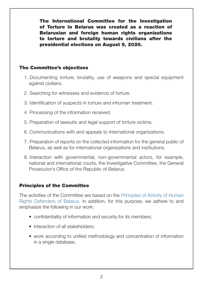The International Committee for the Investigation of Torture in Belarus was created as a reaction of Belarusian and foreign human rights organizations to torture and brutality towards civilians after the presidential elections on August 9, 2020.

#### The Committee's objectives

- 1. Documenting torture, brutality, use of weapons and special equipment against civilians.
- 2. Searching for witnesses and evidence of torture.
- 3. Identification of suspects in torture and inhuman treatment.
- 4. Processing of the information received.
- 5. Preparation of lawsuits and legal support of torture victims.
- 6. Communications with and appeals to international organizations.
- 7. Preparation of reports on the collected information for the general public of Belarus, as well as for international organizations and institutions.
- 8. Interaction with governmental, non-governmental actors, for example, national and international courts, the Investigative Committee, the General Prosecutor's Office of the Republic of Belarus.

#### Principles of the Committee

The activities of the Committee are based on the [Principles](https://bydc.info/en/news/692-printsipy-deyatelnosti-pravozashchitnikov-by) of Activity of Human Rights [Defenders](https://bydc.info/en/news/692-printsipy-deyatelnosti-pravozashchitnikov-by) of Belarus. In addition, for this purpose, we adhere to and emphasize the following in our work:

- confidentiality of information and security for its members;
- interaction of all stakeholders:
- work according to unified methodology and concentration of information in a single database.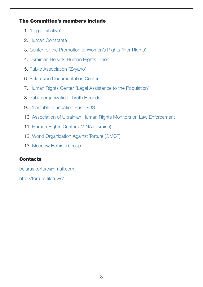#### The Committee's members include

- 1. "Legal [Initiative"](http://www.legin.by/)
- 2. Human [Constanta](https://humanconstanta.by/en/)
- 3. Center for the [Promotion](http://www.eeprava.by/) of Women's Rights "Her Rights"
- 4. [Ukrainian](https://helsinki.org.ua/en/) Helsinki Human Rights Union
- 5. Public [Association](http://zvyano.by/) "Zvyano"
- 6. Belarusian [Documentation](https://bydc.info/en/) Center
- 7. Human Rights Center "Legal [Assistance](https://www.facebook.com/pravovayapomoshch/) to the Population"
- 8. Public [organization](https://truth-hounds.org/en/start-2/) Thruth Hounds
- 9. Charitable [foundation](https://vostok-sos.org/en/) East-SOS
- 10. Association of Ukrainian Human Rights Monitors on Law [Enforcement](http://umdpl.info/en/)
- 11. Human Rights Center ZMINA [\(Ukraine\)](https://zmina.ua/en/)
- 12. World [Organization](https://www.omct.org/) Against Torture (OMCT)
- 13. [Moscow](https://mhg.ru/) Helsinki Group

#### **Contacts**

[belarus.torture@gmail.com](mailto:belarus.torture@gmail.com)

<http://torture.tilda.ws/>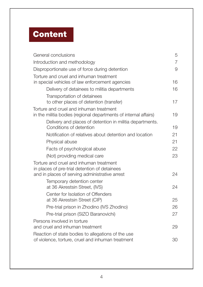## **Content**

| General conclusions                                                                                                                        | 5  |  |
|--------------------------------------------------------------------------------------------------------------------------------------------|----|--|
| Introduction and methodology                                                                                                               |    |  |
| Disproportionate use of force during detention                                                                                             |    |  |
| Torture and cruel and inhuman treatment<br>in special vehicles of law enforcement agencies                                                 | 16 |  |
| Delivery of detainees to militia departments                                                                                               | 16 |  |
| Transportation of detainees<br>to other places of detention (transfer)                                                                     | 17 |  |
| Torture and cruel and inhuman treatment<br>in the militia bodies (regional departments of internal affairs)                                | 19 |  |
| Delivery and places of detention in militia departments.<br>Conditions of detention                                                        | 19 |  |
| Notification of relatives about detention and location                                                                                     | 21 |  |
| Physical abuse                                                                                                                             | 21 |  |
| Facts of psychological abuse                                                                                                               | 22 |  |
| (Not) providing medical care                                                                                                               | 23 |  |
| Torture and cruel and inhuman treatment<br>in places of pre-trial detention of detainees<br>and in places of serving administrative arrest | 24 |  |
| Temporary detention center<br>at 36 Akrestsin Street, (IVS)                                                                                | 24 |  |
| Center for Isolation of Offenders<br>at 36 Akrestsin Street (CIP)                                                                          | 25 |  |
| Pre-trial prison in Zhodino (IVS Zhodino)                                                                                                  | 26 |  |
| Pre-trial prison (SIZO Baranovichi)                                                                                                        | 27 |  |
| Persons involved in torture<br>and cruel and inhuman treatment                                                                             | 29 |  |
| Reaction of state bodies to allegations of the use<br>of violence, torture, cruel and inhuman treatment                                    | 30 |  |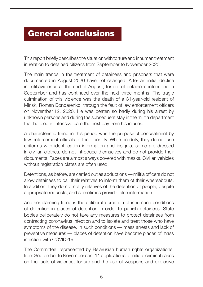### <span id="page-4-0"></span>General conclusions

This report briefly describes the situationwith torture and inhuman treatment in relation to detained citizens from September to November 2020.

The main trends in the treatment of detainees and prisoners that were documented in August 2020 have not changed. After an initial decline in militiaviolence at the end of August, torture of detainees intensified in September and has continued over the next three months. The tragic culmination of this violence was the death of a 31-year-old resident of Minsk, Roman Bondarenko, through the fault of law enforcement officers on November 12, 2020. He was beaten so badly during his arrest by unknown persons and during the subsequent stay in the militia department that he died in intensive care the next day from his injuries.

A characteristic trend in this period was the purposeful concealment by law enforcement officials of their identity. While on duty, they do not use uniforms with identification information and insignia, some are dressed in civilian clothes, do not introduce themselves and do not provide their documents. Faces are almost always covered with masks. Civilian vehicles without registration plates are often used.

Detentions, as before, are carried out as abductions — militia officers do not allow detainees to call their relatives to inform them of their whereabouts. In addition, they do not notify relatives of the detention of people, despite appropriate requests, and sometimes provide false information.

Another alarming trend is the deliberate creation of inhumane conditions of detention in places of detention in order to punish detainees. State bodies deliberately do not take any measures to protect detainees from contracting coronavirus infection and to isolate and treat those who have symptoms of the disease. In such conditions — mass arrests and lack of preventive measures — places of detention have become places of mass infection with COVID-19.

The Committee, represented by Belarusian human rights organizations, from September to November sent 11 applications to initiate criminal cases on the facts of violence, torture and the use of weapons and explosive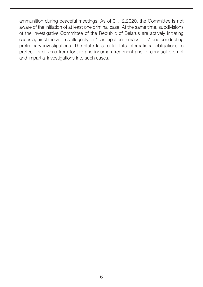ammunition during peaceful meetings. As of 01.12.2020, the Committee is not aware of the initiation of at least one criminal case. At the same time, subdivisions of the Investigative Committee of the Republic of Belarus are actively initiating cases against the victims allegedly for "participation in mass riots" and conducting preliminary investigations. The state fails to fulfill its international obligations to protect its citizens from torture and inhuman treatment and to conduct prompt and impartial investigations into such cases.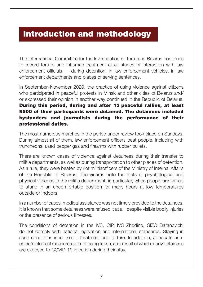## <span id="page-6-0"></span>Introduction and methodology

The International Committee for the Investigation of Torture in Belarus continues to record torture and inhuman treatment at all stages of interaction with law enforcement officials — during detention, in law enforcement vehicles, in law enforcement departments and places of serving sentences.

In September–November 2020, the practice of using violence against citizens who participated in peaceful protests in Minsk and other cities of Belarus and/ or expressed their opinion in another way continued in the Republic of Belarus. During this period, during and after 13 peaceful rallies, at least 9500 of their participants were detained. The detainees included bystanders and journalists during the performance of their professional duties.

The most numerous marches in the period under review took place on Sundays. During almost all of them, law enforcement officers beat people, including with truncheons, used pepper gas and firearms with rubber bullets.

There are known cases of violence against detainees during their transfer to militia departments, as well as during transportation to other places of detention. As a rule, they were beaten by riot militiaofficers of the Ministry of Internal Affairs of the Republic of Belarus. The victims note the facts of psychological and physical violence in the militia department, in particular, when people are forced to stand in an uncomfortable position for many hours at low temperatures outside or indoors.

In a number of cases, medical assistance was not timely provided to the detainees. It is known that some detainees were refused it at all, despite visible bodily injuries or the presence of serious illnesses.

The conditions of detention in the IVS, CIP, IVS Zhodino, SIZO Baranovichi do not comply with national legislation and international standards. Staying in such conditions is in itself ill-treatment and torture. In addition, adequate antiepidemiological measures are not being taken, as a result of which many detainees are exposed to COVID-19 infection during their stay.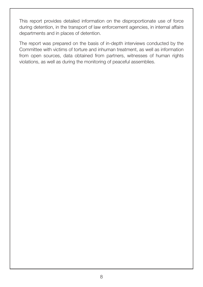This report provides detailed information on the disproportionate use of force during detention, in the transport of law enforcement agencies, in internal affairs departments and in places of detention.

The report was prepared on the basis of in-depth interviews conducted by the Committee with victims of torture and inhuman treatment, as well as information from open sources, data obtained from partners, witnesses of human rights violations, as well as during the monitoring of peaceful assemblies.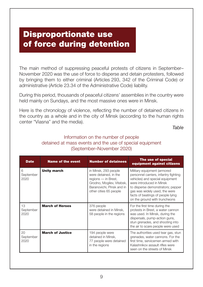## <span id="page-8-0"></span>Disproportionate use of force during detention

The main method of suppressing peaceful protests of citizens in September– November 2020 was the use of force to disperse and detain protesters, followed by bringing them to either criminal (Articles 293, 342 of the Criminal Code) or administrative (Article 23.34 of the Administrative Code) liability.

During this period, thousands of peaceful citizens' assemblies in the country were held mainly on Sundays, and the most massive ones were in Minsk.

Here is the chronology of violence, reflecting the number of detained citizens in the country as a whole and in the city of Minsk (according to the human rights center "Viasna" and the media).

*Table*

#### Information on the number of people detained at mass events and the use of special equipment (September–November 2020)

| <b>Date</b>             | <b>Name of the event</b> | <b>Number of detainees</b>                                                                                                                               | The use of special<br>equipment against citizens                                                                                                                                                                                                                                |
|-------------------------|--------------------------|----------------------------------------------------------------------------------------------------------------------------------------------------------|---------------------------------------------------------------------------------------------------------------------------------------------------------------------------------------------------------------------------------------------------------------------------------|
| 6<br>September<br>2020  | <b>Unity march</b>       | in Minsk, 293 people<br>were detained, in the<br>regions - in Brest,<br>Grodno, Mogilev, Vitebsk,<br>Baranovichi, Pinsk and in<br>other cities 65 people | Military equipment (armored<br>personnel carriers, infantry fighting<br>vehicles) and special equipment<br>were introduced in Minsk<br>to disperse demonstrators; pepper<br>gas was widely used, the were<br>facts of beatings of people lying<br>on the ground with truncheons |
| 13<br>September<br>2020 | <b>March of Heroes</b>   | 376 people<br>were detained in Minsk,<br>58 people in the regions                                                                                        | For the first time during the<br>protests in Brest, a water cannon<br>was used. In Minsk, during the<br>dispersals, pump-action guns,<br>stun grenades, and shooting into<br>the air to scare people were used                                                                  |
| 20<br>September<br>2020 | <b>March of Justice</b>  | 194 people were<br>detained in Minsk,<br>77 people were detained<br>in the regions                                                                       | The authorities used tear gas, stun<br>grenades, water cannons. For the<br>first time, servicemen armed with<br>Kalashnikov assault rifles were<br>seen on the streets of Minsk                                                                                                 |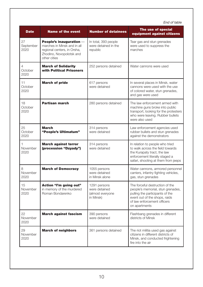|                                   | End of table                                                                                                                      |                                                                |                                                                                                                                                                                          |
|-----------------------------------|-----------------------------------------------------------------------------------------------------------------------------------|----------------------------------------------------------------|------------------------------------------------------------------------------------------------------------------------------------------------------------------------------------------|
| <b>Date</b>                       | <b>Name of the event</b>                                                                                                          | <b>Number of detainees</b>                                     | The use of special<br>equipment against citizens                                                                                                                                         |
| 27<br>September<br>2020           | People's inauguration -<br>marches in Minsk and in all<br>regional centers, in Orsha,<br>Zhodino, Novopolotsk and<br>other cities | In total, 393 people<br>were detained in the<br>republic       | Tear gas and stun grenades<br>were used to suppress the<br>marches                                                                                                                       |
| $\overline{4}$<br>October<br>2020 | <b>March of Solidarity</b><br>with Political Prisoners                                                                            | 252 persons detained                                           | Water cannons were used                                                                                                                                                                  |
| 11<br>October<br>2020             | <b>March of pride</b>                                                                                                             | 617 persons<br>were detained                                   | In several places in Minsk, water<br>cannons were used with the use<br>of colored water, stun grenades,<br>and gas were used                                                             |
| 18<br>October<br>2020             | <b>Partisan march</b>                                                                                                             | 280 persons detained                                           | The law enforcement armed with<br>machine guns broke into public<br>transport, looking for the protesters<br>who were leaving. Rubber bullets<br>were also used                          |
| 25<br>October<br>2020             | <b>March</b><br>"People's Ultimatum"                                                                                              | 314 persons<br>were detained                                   | Law enforcement agencies used<br>rubber bullets and stun grenades<br>against the demonstrators                                                                                           |
| 1<br>November<br>2020             | <b>March against terror</b><br>(procession "Dzyady")                                                                              | 314 persons<br>were detained                                   | In relation to people who tried<br>to walk across the field towards<br>the Kurapaty tract, the law<br>enforcement literally staged a<br>safari, shooting at them from jeeps              |
| 8<br>November<br>2020             | <b>March of Democracy</b>                                                                                                         | 1055 persons<br>were detained<br>in Minsk alone                | Water cannons, armored personnel<br>carriers, infantry fighting vehicles,<br>gas, stun grenades                                                                                          |
| 15<br>November<br>2020            | Action "I'm going out"<br>in memory of the murdered<br>Roman Bondarenko                                                           | 1291 persons<br>were detained<br>(almost everyone<br>in Minsk) | The forceful destruction of the<br>people's memorial, stun grenades,<br>pulling the participants of the<br>event out of the shops, raids<br>of law enforcement officers<br>on apartments |
| 22<br>November<br>2020            | <b>March against fascism</b>                                                                                                      | 390 persons<br>were detained                                   | Flashbang grenades in different<br>districts of Minsk                                                                                                                                    |
| 29<br>November<br>2020            | <b>March of neighbors</b>                                                                                                         | 361 persons detained                                           | The riot militia used gas against<br>citizens in different districts of<br>Minsk, and conducted frightening<br>fire into the air                                                         |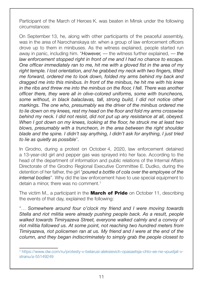Participant of the March of Heroes K. was beaten in Minsk under the following circumstances:

On September 13, he, along with other participants of the peaceful assembly, was in the area of Narochanskaya str. when a group of law enforcement officers drove up to them in minibuses. As the witness explained, people started run away in panic, including him. "*However,* — the witness further explained, — *the law enforcement stopped right in front of me and I had no chance to escape. One officer immediately ran to me, hit me with a gloved fist in the area of my right temple. I lost orientation, and he grabbed my neck with two fingers, tilted me forward, ordered me to look down, folded my arms behind my back and dragged me into this minibus. In front of the minibus, he hit me with his knee in the ribs and threw me into the minibus on the floor, I fell. There was another officer there, they were all in olive-colored uniforms, some with truncheons, some without, in black balaclavas, tall, strong build, I did not notice other markings. The one who, presumably wa the driver of the minibus ordered me to lie down on my knees, rest my head on the floor and fold my arms crosswise behind my neck. I did not resist, did not put up any resistance at all, obeyed. When I got down on my knees, looking at the floor, he struck me at least two blows, presumably with a truncheon, in the area between the right shoulder blade and the spine. I didn't say anything, I didn't ask for anything, I just tried to lie as quietly as possible*"*.*

In Grodno, during a protest on October 4, 2020, law enforcement detained a 13-year-old girl and pepper gas was sprayed into her face. According to the head of the department of information and public relations of the Internal Affairs Directorate of the Grodno Regional Executive Committee E. Dudko, during the detention of her father, the girl "*poured a bottle of cola over the employee of the internal bodies*". Why did the law enforcement have to use special equipment to detain a minor, there was no comment.<sup>1</sup>

The victim M., a participant in the **March of Pride** on October 11, describing the events of that day, explained the following:

"… *Somewhere around four o'clock my friend and I were moving towards Stella and riot militia were already pushing people back. As a result, people walked towards Timiryazeva Street, everyone walked calmly and a convoy of riot militia followed us. At some point, not reaching two hundred meters from Timiryazeva, riot policemen ran at us. My friend and I were at the end of the column, and they began indiscriminately to simply grab the people closest to* 

<sup>1</sup> https://www.dw.com/ru/protesty-v-belarusi-aleksievich-opasaetsja-chto-ee-ne-vpustjat-vstranu/a-55149249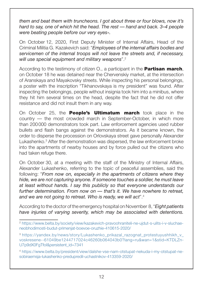*them and beat them with truncheons. I got about three or four blows, now it's hard to say, one of which hit the head. The rest — hand and back. 3–4 people were beating people before our very eyes*»*.*

On October 12, 2020, First Deputy Minister of Internal Affairs, Head of the Criminal Militia G. Kazakevich said: "*Employees of the internal affairs bodies and servicemen of the internal troops will not leave the streets and, if necessary, will use special equipment and military weapons*".2

According to the testimony of citizen O., a participant in the **Partisan march**, on October 18 he was detained near the Chervenskiy market, at the intersection of Aranskaya and Mayakovsky streets. While inspecting his personal belongings, a poster with the inscription "Tikhanovskaya is my president" was found. After inspecting the belongings, people without insignia took him into a minibus, where they hit him several times on the head, despite the fact that he did not offer resistance and did not insult them in any way.

On October 25, the **People's Ultimatum march** took place in the country — the most crowded march in September-October, in which more than 200000 demonstrators took part. Law enforcement agencies used rubber bullets and flash bangs against the demonstrators. As it became known, the order to disperse the procession on Orlovskaya street gave personally Alexander Lukashenko.3 After the demonstration was dispersed, the law enforcement broke into the apartments of nearby houses and by force pulled out the citizens who had taken refuge there.

On October 30, at a meeting with the staff of the Ministry of Internal Affairs, Alexander Lukashenko, referring to the topic of peaceful assemblies, said the following: "*From now on, especially in the apartments of citizens where they hide, we are not capturing anyone. If someone touches a soldier, he must leave at least without hands. I say this publicly so that everyone understands our further determination. From now on — that's it. We have nowhere to retreat, and we are not going to retreat. Who is ready, we will act*".4

According to the doctor of the emergency hospital on November 8,"*Eight patients have injuries of varying severity, which may be associated with detentions.* 

<sup>2</sup> [https://www.belta.by/society/view/kazakevich-pravoohraniteli-ne-ujdut-s-ulits-i-v-sluchae](https://www.belta.by/society/view/kazakevich-pravoohraniteli-ne-ujdut-s-ulits-i-v-sluchae-neobhodimosti-budut-primenjat-boevoe-oruzhie-410615-2020/)[neobhodimosti-budut-primenjat-boevoe-oruzhie-410615-2020/](https://www.belta.by/society/view/kazakevich-pravoohraniteli-ne-ujdut-s-ulits-i-v-sluchae-neobhodimosti-budut-primenjat-boevoe-oruzhie-410615-2020/)

<sup>&</sup>lt;sup>3</sup> [https://yandex.by/news/story/Lukashenko\\_prikazal\\_razognat\\_protestuyushhikh\\_v\\_](https://yandex.by/news/story/Lukashenko_prikazal_razognat_protestuyushhikh_v_voskresene--61049be1244717024c46260b064043b0?lang=ru&wan=1&stid=KTDLZn-U7p9dX0FgTfoI&persistent_id=7341) [voskresene--61049be1244717024c46260b064043b0?lang=ru&wan=1&stid=KTDLZn-](https://yandex.by/news/story/Lukashenko_prikazal_razognat_protestuyushhikh_v_voskresene--61049be1244717024c46260b064043b0?lang=ru&wan=1&stid=KTDLZn-U7p9dX0FgTfoI&persistent_id=7341)U7p9dX0FgTfol&persistent\_id=7341

<sup>4</sup> [https://www.belta.by/president/view/dalshe-vse-nam-otstupat-nekuda-i-my-otstupat-ne](https://www.belta.by/president/view/dalshe-vse-nam-otstupat-nekuda-i-my-otstupat-ne-sobiraemsja-lukashenko-predupredil-uchastnikov-413359-2020/)[sobiraemsja-lukashenko-predupredil-uchastnikov-413359-2020/](https://www.belta.by/president/view/dalshe-vse-nam-otstupat-nekuda-i-my-otstupat-ne-sobiraemsja-lukashenko-predupredil-uchastnikov-413359-2020/)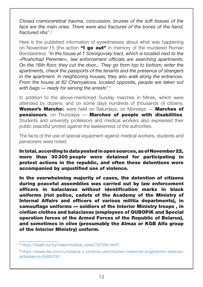*Closed craniocerebral trauma, concussion, bruises of the soft tissues of the*  face are the main ones. There were also fractures of the bones of the hand. *fractured ribs*".5

Here is the published information of eyewitnesses about what was happening on November 15 (the action "I go out" in memory of the murdered Roman Bondarenko): "*In the house at 1 Smorgovsky tract, which is located next to the «Ploshchad Peremen», law enforcement officials are searching apartments. On the 16th floor, they cut the door... They go from top to bottom, enter the apartments, check the passports of the tenants and the presence of strangers in the apartment. In neighboring houses, they also walk along the entrances. From the house at 62 Chervyakova, located opposite, people are taken out with bags — ready for serving the arrests*".6

In addition to the above-mentioned Sunday marches in Minsk, which were attended by dozens, and on some days hundreds of thousands of citizens, Women's Marches were held on Saturdays, on Mondays — Marches of pensioners, on Thursdays - Marches of people with disabilities. Students and university professors and medical workers also expressed their public peaceful protest against the lawlessness of the authorities.

The facts of the use of special equipment against medical workers, students and pensioners were noted.

In total, according to data posted in open sources, as of November 22, more than 30300 people were detained for participating in protest actions in the republic, and often these detentions were accompanied by unjustified use of violence.

In the overwhelming majority of cases, the detention of citizens during peaceful assemblies was carried out by law enforcement officers in balaclavas without identification marks in black uniforms (riot police, cadets of the Academy of the Ministry of Internal Affairs and officers of various militia departments), in camouflage uniforms — soldiers of the Interior Ministry troops , in civilian clothes and balaclavas (employees of GUBOPiK and Special operation forces of the Armed Forces of the Republic of Belarus), and sometimes in olive (presumably the Almaz or KGB Alfa group of the Interior Ministry) uniform.

<sup>5</sup> [https://health.tut.by/news/medical\\_news/707296.html?](https://health.tut.by/news/medical_news/707296.html?)

<sup>6</sup> [https://www.dw.com/ru/belarus-v-londone-unichtozhen-memorial-pogibshimv-belarusi](https://www.dw.com/ru/belarus-v-londone-unichtozhen-memorial-pogibshimv-belarusi-aktivistam/a-55603791)[aktivistam/a-55603791](https://www.dw.com/ru/belarus-v-londone-unichtozhen-memorial-pogibshimv-belarusi-aktivistam/a-55603791)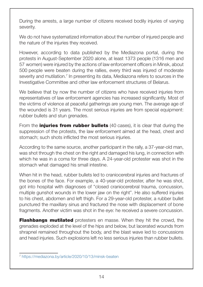During the arrests, a large number of citizens received bodily injuries of varying severity.

We do not have systematized information about the number of injured people and the nature of the injuries they received.

However, according to data published by the Mediazona portal, during the protests in August-September 2020 alone, at least 1373 people (1316 men and 57 women) were injured by the actions of law enforcement officers in Minsk, about 500 people were beaten during the rallies, every third was injured of moderate severity and mutilation.<sup>7</sup> In presenting its data, Mediazona refers to sources in the Investigative Committee and other law enforcement structures of Belarus.

We believe that by now the number of citizens who have received injuries from representatives of law enforcement agencies has increased significantly. Most of the victims of violence at peaceful gatherings are young men. The average age of the wounded is 31 years. The most serious injuries are from special equipment: rubber bullets and stun grenades.

From the **injuries from rubber bullets** (40 cases), it is clear that during the suppression of the protests, the law enforcement aimed at the head, chest and stomach; such shots inflicted the most serious injuries.

According to the same source, another participant in the rally, a 37-year-old man, was shot through the chest on the right and damaged his lung, in connection with which he was in a coma for three days. A 24-year-old protester was shot in the stomach what damaged his small intestine.

When hit in the head, rubber bullets led to craniocerebral injuries and fractures of the bones of the face. For example, a 40-year-old protester, after he was shot, got into hospital with diagnoses of "closed craniocerebral trauma, concussion, multiple gunshot wounds in the lower jaw on the right". He also suffered injuries to his chest, abdomen and left thigh. For a 29-year-old protester, a rubber bullet punctured the maxillary sinus and fractured the nose with displacement of bone fragments. Another victim was shot in the eye: he received a severe concussion.

**Flashbangs mutilated** protesters en masse. When they hit the crowd, the grenades exploded at the level of the hips and below, but lacerated wounds from shrapnel remained throughout the body, and the blast wave led to concussions and head injuries. Such explosions left no less serious injuries than rubber bullets.

<sup>7</sup> https://mediazona.by/article/2020/10/13/minsk-beaten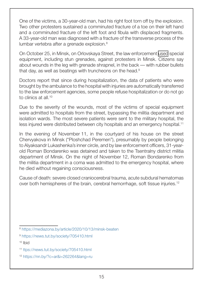One of the victims, a 30-year-old man, had his right foot torn off by the explosion. Two other protesters sustained a comminuted fracture of a toe on their left hand and a comminuted fracture of the left foot and fibula with displaced fragments. A 33-year-old man was diagnosed with a fracture of the transverse process of the lumbar vertebra after a grenade explosion.<sup>8</sup>

On October 25, in Minsk, on Orlovskaya Street, the law enforcement [used](https://translate.google.com/translate?hl=ru&prev=_t&sl=ru&tl=en&u=https://news.tut.by/society/705342.html) special equipment, including stun grenades, against protesters in Minsk. Citizens say about wounds in the leg with grenade shrapnel, in the back — with rubber bullets that day, as well as beatings with truncheons on the head.<sup>9</sup>

Doctors report that since during hospitalization, the data of patients who were brought by the ambulance to the hospital with injuries are automatically transferred to the law enforcement agencies, some people refuse hospitalization or do not go to clinics at all.10

Due to the severity of the wounds, most of the victims of special equipment were admitted to hospitals from the street, bypassing the militia department and isolation wards. The most severe patients were sent to the military hospital, the less injured were distributed between city hospitals and an emergency hospital.<sup>11</sup>

In the evening of November 11, in the courtyard of his house on the street Chervyakova in Minsk ("Ploshchad Peremen"), presumably by people belonging to Alyaksandr Lukashenka's inner circle, and by law enforcement officers, 31-yearold Roman Bondarenko was detained and taken to the Tsentralny district militia department of Minsk. On the night of November 12, Roman Bondarenko from the militia department in a coma was admitted to the emergency hospital, where he died without regaining consciousness.

Cause of death: severe closed craniocerebral trauma, acute subdural hematomas over both hemispheres of the brain, cerebral hemorrhage, soft tissue injuries.12

10 Ibid

<sup>8</sup> <https://mediazona.by/article/2020/10/13/minsk-beaten>

<sup>9</sup> <https://news.tut.by/society/705410.html>

<sup>11</sup> <ttps://news.tut.by/society/705410.html>

<sup>12</sup> <https://nn.by/?c=ar&i=262264&lang=ru>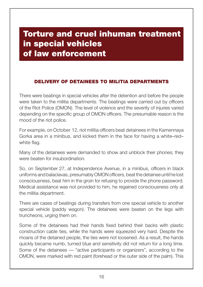## <span id="page-15-0"></span>Torture and cruel inhuman treatment in special vehicles of law enforcement

#### Delivery of detainees to militia departments

There were beatings in special vehicles after the detention and before the people were taken to the militia departments. The beatings were carried out by officers of the Riot Police (OMON). The level of violence and the severity of injuries varied depending on the specific group of OMON officers. The presumable reason is the mood of the riot police.

For example, on October 12, riot militia officers beat detainees in the Kamennaya Gorka area in a minibus, and kicked them in the face for having a white–red– white flag.

Many of the detainees were demanded to show and unblock their phones; they were beaten for insubordination.

So, on September 27, at Independence Avenue, in a minibus, officers in black uniforms and balaclavas, presumably OMON officers, beat the detainee until he lost consciousness, beat him in the groin for refusing to provide the phone password. Medical assistance was not provided to him, he regained consciousness only at the militia department.

There are cases of beatings during transfers from one special vehicle to another special vehicle (paddy wagon). The detainees were beaten on the legs with truncheons, urging them on.

Some of the detainees had their hands fixed behind their backs with plastic construction cable ties, while the hands were squeezed very hard. Despite the moans of the detained people, the ties were not loosened. As a result, the hands quickly became numb, turned blue and sensitivity did not return for a long time. Some of the detainees — "active participants or organizers", according to the OMON, were marked with red paint (forehead or the outer side of the palm). This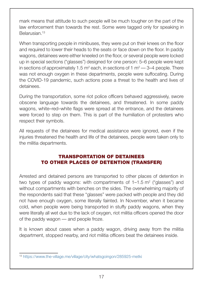<span id="page-16-0"></span>mark means that attitude to such people will be much tougher on the part of the law enforcement than towards the rest. Some were tagged only for speaking in Belarusian.13

When transporting people in minibuses, they were put on their knees on the floor and required to lower their heads to the seats or face down on the floor. In paddy wagons, detainees were either kneeled on the floor, or several people were locked up in special sections ("glasses") designed for one person: 5–6 people were kept in sections of approximately 1.5  $m^2$  each, in sections of 1  $m^2$  — 3–4 people. There was not enough oxygen in these departments, people were suffocating. During the COVID-19 pandemic, such actions pose a threat to the health and lives of detainees.

During the transportation, some riot police officers behaved aggressively, swore obscene language towards the detainees, and threatened. In some paddy wagons, white–red–white flags were spread at the entrance, and the detainees were forced to step on them. This is part of the humiliation of protesters who respect their symbols.

All requests of the detainees for medical assistance were ignored, even if the injuries threatened the health and life of the detainees, people were taken only to the militia departments.

#### Transportation of detainees to other places of detention (transfer)

Arrested and detained persons are transported to other places of detention in two types of paddy wagons: with compartments of  $1-1.5$  m<sup>2</sup> ("glasses") and without compartments with benches on the sides. The overwhelming majority of the respondents said that these "glasses" were packed with people and they did not have enough oxygen, some literally fainted. In November, when it became cold, when people were being transported in stuffy paddy wagons, when they were literally all wet due to the lack of oxygen, riot militia officers opened the door of the paddy wagon — and people froze.

It is known about cases when a paddy wagon, driving away from the militia department, stopped nearby, and riot militia officers beat the detainees inside.

<sup>13</sup> https://www.the-village.me/village/city/whatsgoingon/285925-metki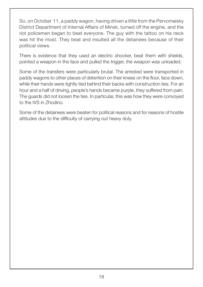So, on October 11, a paddy wagon, having driven a little from the Pervomaisky District Department of Internal Affairs of Minsk, turned off the engine, and the riot policemen began to beat everyone. The guy with the tattoo on his neck was hit the most. They beat and insulted all the detainees because of their political views.

There is evidence that they used an electric shocker, beat them with shields, pointed a weapon in the face and pulled the trigger, the weapon was unloaded.

Some of the transfers were particularly brutal. The arrested were transported in paddy wagons to other places of detention on their knees on the floor, face down, while their hands were tightly tied behind their backs with construction ties. For an hour and a half of driving, people's hands became purple, they suffered from pain. The guards did not loosen the ties. In particular, this was how they were convoyed to the IVS in Zhodino.

Some of the detainees were beaten for political reasons and for reasons of hostile attitudes due to the difficulty of carrying out heavy duty.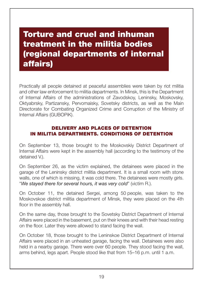## <span id="page-18-0"></span>Torture and cruel and inhuman treatment in the militia bodies (regional departments of internal affairs)

Practically all people detained at peaceful assemblies were taken by riot militia and other law enforcement to militia departments. In Minsk, this is the Department of Internal Affairs of the administrations of Zavodskoy, Leninsky, Moskovsky, Oktyabrsky, Partizansky, Pervomaisky, Sovetsky districts, as well as the Main Directorate for Combating Organized Crime and Corruption of the Ministry of Internal Affairs (GUBOPiK).

#### Delivery and places of detention in militia departments. Conditions of detention

On September 13, those brought to the Moskovskiy District Department of Internal Affairs were kept in the assembly hall (according to the testimony of the detained V.).

On September 26, as the victim explained, the detainees were placed in the garage of the Leninsky district militia department. It is a small room with stone walls, one of which is missing, it was cold there. The detainees were mostly girls. "*We stayed there for several hours, it was very cold*" (victim R.).

On October 11, the detained Sergei, among 50 people, was taken to the Moskovskoe district militia department of Minsk, they were placed on the 4th floor in the assembly hall.

On the same day, those brought to the Sovetsky District Department of Internal Affairs were placed in the basement, put on their knees and with their head resting on the floor. Later they were allowed to stand facing the wall.

On October 18, those brought to the Leninskoe District Department of Internal Affairs were placed in an unheated garage, facing the wall. Detainees were also held in a nearby garage. There were over 60 people. They stood facing the wall, arms behind, legs apart. People stood like that from 15–16 p.m. until 1 a.m.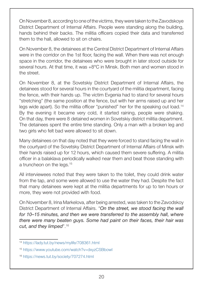On November 8, according to one of the victims, they were taken to the Zavodskoye District Department of Internal Affairs. People were standing along the building, hands behind their backs. The militia officers copied their data and transferred them to the hall, allowed to sit on chairs.

On November 8, the detainees at the Central District Department of Internal Affairs were in the corridor on the 1st floor, facing the wall. When there was not enough space in the corridor, the detainees who were brought in later stood outside for several hours. At that time, it was +8°C in Minsk. Both men and women stood in the street.

On November 8, at the Sovetskiy District Department of Internal Affairs, the detainees stood for several hours in the courtyard of the militia department, facing the fence, with their hands up. The victim Evgenia had to stand for several hours "stretching" (the same position at the fence, but with her arms raised up and her legs wide apart). So the militia officer "punished" her for the speaking out load.<sup>14</sup> By the evening it became very cold, it started raining, people were shaking. On that day, there were 8 detained women in Sovetskiy district militia department. The detainees spent the entire time standing. Only a man with a broken leg and two girls who felt bad were allowed to sit down.

Many detainees on that day noted that they were forced to stand facing the wall in the courtyard of the Sovetsky District Department of Internal Affairs of Minsk with their hands raised up for 12 hours, which caused them severe suffering. A militia officer in a balaklava periodically walked near them and beat those standing with a truncheon on the legs.15

All interviewees noted that they were taken to the toilet, they could drink water from the tap, and some were allowed to use the water they had. Despite the fact that many detainees were kept at the militia departments for up to ten hours or more, they were not provided with food.

On November 8, Irina Markelova, after being arrested, was taken to the Zavodskoy District Department of Internal Affairs. "*On the street, we stood facing the wall for 10–15 minutes, and then we were transferred to the assembly hall, where there were many beaten guys. Some had paint on their faces, their hair was cut, and they limped*".16

<sup>14</sup> <https://lady.tut.by/news/mylife/708361.html>

<sup>15</sup> <https://www.youtube.com/watch?v=dxyzCSBbowI>

<sup>16</sup> <https://news.tut.by/society/707274.html>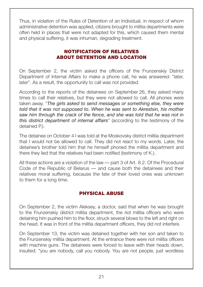<span id="page-20-0"></span>Thus, in violation of the Rules of Detention of an Individual, in respect of whom administrative detention was applied, citizens brought to militia departments were often held in places that were not adapted for this, which caused them mental and physical suffering, it was inhuman, degrading treatment.

#### Notification of relatives about detention and location

On September 2, the victim asked the officers of the Frunzenskiy District Department of Internal Affairs to make a phone call, he was answered: "later, later". As a result, the opportunity to call was not provided.

According to the reports of the detainees on September 26, they asked many times to call their relatives, but they were not allowed to call. All phones were taken away. "*The girls asked to send messages or something else, they were told that it was not supposed to. When he was sent to Akrestsin, his mother saw him through the crack of the fence, and she was told that he was not in this district department of internal affairs*" (according to the testimony of the detained P.).

The detainee on October 4 I was told at the Moskovsky district militia department that I would not be allowed to call. They did not react to my words. Later, the detainee's brother told him that he himself phoned the militia department and there they lied that the relatives had been notified (testimony of K.).

All these actions are a violation of the law — part 3 of Art. 8.2. Of the Procedural Code of the Republic of Belarus — and cause both the detainees and their relatives moral suffering, because the fate of their loved ones was unknown to them for a long time.

#### Physical abuse

On September 2, the victim Aleksey, a doctor, said that when he was brought to the Frunzenskiy district militia department, the riot militia officers who were detaining him pushed him to the floor, struck several blows to the left and right on the head. It was in front of the militia department officers, they did not interfere.

On September 13, the victim was detained together with her son and taken to the Frunzenskiy militia department. At the entrance there were riot militia officers with machine guns. The detainees were forced to leave with their heads down, insulted: "you are nobody, call you nobody. You are not people, just wordless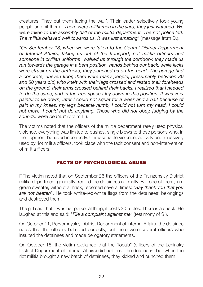<span id="page-21-0"></span>creatures. They put them facing the wall". Their leader selectively took young people and hit them. "*There were militiamen in the yard, they just watched. We were taken to the assembly hall of the militia department. The riot police left. The militia behaved well towards us. It was just amazing*" (message from D.).

"*On September 13, when we were taken to the Central District Department of Internal Affairs, taking us out of the transport, riot militia officers and someone in civilian uniforms «walked us through the corridor»: they made us run towards the garage in a bent position, hands behind our back, while kicks were struck on the buttocks, they punched us on the head. The garage had a concrete, uneven floor, there were many people, presumably between 30 and 50 years old, who knelt with their legs crossed and rested their foreheads on the ground, their arms crossed behind their backs. I realized that I needed to do the same, and in the free space I lay down in this position. It was very painful to lie down, later I could not squat for a week and a half because of pain in my knees, my legs became numb, I could not turn my head, I could not move, I could not do anything. Those who did not obey, judging by the sounds, were beaten*" (victim L.).

The victims noted that the officers of the militia department rarely used physical violence, everything was limited to pushes, single blows to those persons who, in their opinion, behaved incorrectly. Unreasonable violence, actively and massively used by riot militia officers, took place with the tacit consent and non-intervention of militia fficers.

#### Facts of psychological abuse

ПThe victim noted that on September 26 the officers of the Frunzenskiy District militia department generally treated the detainees normally. But one of them, in a green sweater, without a mask, repeated several times: "*Say thank you that you are not beaten*". He took white-red-white flags from the detainees' belongings and destroyed them.

The girl said that it was her personal thing, it costs 30 rubles. There is a check. He laughed at this and said: "*File a complaint against me*" (testimony of S.).

On October 11, Pervomayskiy District Department of Internal Affairs, the detainee notes that the officers behaved correctly, but there were several officers who insulted the detainees and made derogatory statements.

On October 18, the victim explained that the "locals" (officers of the Leninsky District Department of Internal Affairs) did not beat the detainees, but when the riot militia brought a new batch of detainees, they kicked and punched them.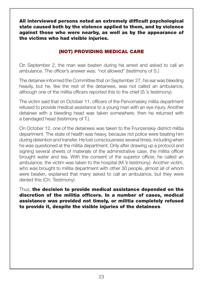<span id="page-22-0"></span>All interviewed persons noted an extremely difficult psychological state caused both by the violence applied to them, and by violence against those who were nearby, as well as by the appearance of the victims who had visible injuries.

#### (Not) providing medical care

On September 2, the man was beaten during his arrest and asked to call an ambulance. The officer's answer was: "not allowed" (testimony of S.)

The detainee informed the Committee that on September 27, his ear was bleeding heavily, but he, like the rest of the detainees, was not called an ambulance, although one of the militia officers reported this to the chief (S.'s testimony).

The victim said that on October 11, officers of the Pervomaisky milita department refused to provide medical assistance to a young man with an eye injury. Another detainee with a bleeding head was taken somewhere, then he returned with a bandaged head (testimony of T.).

On October 12, one of the detainees was taken to the Frunzenskiy district militia department. The state of health was heavy, because riot police were beating him during detention and transfer. He lost consciousness several times, including when he was questioned at the militia department. Only after drawing up a protocol and signing several sheets of materials of the administrative case, the militia officer brought water and tea. With the consent of the superior officer, he called an ambulance, the victim was taken to the hospital (M.'s testimony). Another victim, who was brought to militia department with other 30 people, almost all of whom were beaten, explained that many asked to call an ambulance, but they were denied this (Ch. Testimony).

Thus, the decision to provide medical assistance depended on the discretion of the militia officers. In a number of cases, medical assistance was provided not timely, or militia completely refused to provide it, despite the visible injuries of the detainees.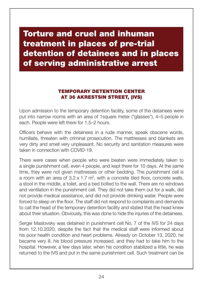## <span id="page-23-0"></span>Torture and cruel and inhuman treatment in places of pre-trial detention of detainees and in places of serving administrative arrest

#### Temporary detention center at 36 Akrestsin Street, (IVS)

Upon admission to the temporary detention facility, some of the detainees were put into narrow rooms with an area of 1square meter ("glasses"), 4–5 people in each. People were left there for 1.5–2 hours.

Officers behave with the detainees in a rude manner, speak obscene words, humiliate, threaten with criminal prosecution. The mattresses and blankets are very dirty and smell very unpleasant. No security and sanitation measures were taken in connection with COVID-19.

There were cases when people who were beaten were immediately taken to a single punishment cell, even 4 people, and kept there for 10 days. At the same time, they were not given mattresses or other bedding. The punishment cell is a room with an area of  $3.2 \times 1.7$  m<sup>2</sup>, with a concrete tiled floor, concrete walls, a stool in the middle, a toilet, and a bed bolted to the wall. There are no windows and ventilation in the punishment cell. They did not take them out for a walk, did not provide medical assistance, and did not provide drinking water. People were forced to sleep on the floor. The staff did not respond to complaints and demands to call the head of the temporary detention facility and stated that the head knew about their situation. Obviously, this was done to hide the injuries of the detainees.

Sergei Maslovsky was detained in punishment cell No. 7 of the IVS for 24 days from 12.10.2020, despite the fact that the medical staff were informed about his poor health condition and heart problems. Already on October 13, 2020, he became very ill, his blood pressure increased, and they had to take him to the hospital. However, a few days later, when his condition stabilized a little, he was returned to the IVS and put in the same punishment cell. Such treatment can be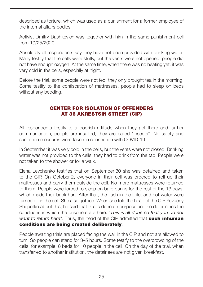<span id="page-24-0"></span>described as torture, which was used as a punishment for a former employee of the internal affairs bodies.

Activist Dmitry Dashkevich was together with him in the same punishment cell from 10/25/2020.

Absolutely all respondents say they have not been provided with drinking water. Many testify that the cells were stuffy, but the vents were not opened, people did not have enough oxygen. At the same time, when there was no heating yet, it was very cold in the cells, especially at night.

Before the trial, some people were not fed, they only brought tea in the morning. Some testify to the confiscation of mattresses, people had to sleep on beds without any bedding.

#### Center for Isolation of Offenders at 36 Akrestsin Street (CIP)

All respondents testify to a boorish attitude when they get there and further communication, people are insulted, they are called "insects". No safety and sanitation measures were taken in connection with COVID-19.

In September it was very cold in the cells, but the vents were not closed. Drinking water was not provided to the cells; they had to drink from the tap. People were not taken to the shower or for a walk.

Elena Levchenko testifies that on September 30 she was detained and taken to the CIP. On October 2, everyone in their cell was ordered to roll up their mattresses and carry them outside the cell. No more mattresses were returned to them. People were forced to sleep on bare bunks for the rest of the 13 days, which made their back hurt. After that, the flush in the toilet and hot water were turned off in the cell. She also got lice. When she told the head of the CIP Yevgeny Shapetko about this, he said that this is done on purpose and he determines the conditions in which the prisoners are here: "*This is all done so that you do not want to return here*". Thus, the head of the CIP admitted that **such inhuman** conditions are being created deliberately.

People awaiting trials are placed facing the wall in the CIP and not are allowed to turn. So people can stand for 3–5 hours. Some testify to the overcrowding of the cells, for example, 8 beds for 10 people in the cell. On the day of the trial, when transferred to another institution, the detainees are not given breakfast.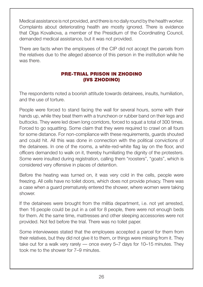<span id="page-25-0"></span>Medical assistance is not provided, and there is no daily round by the health worker. Complaints about deteriorating health are mostly ignored. There is evidence that Olga Kovalkova, a member of the Presidium of the Coordinating Council, demanded medical assistance, but it was not provided.

There are facts when the employees of the CIP did not accept the parcels from the relatives due to the alleged absence of this person in the institution while he was there.

#### Pre-trial prison in Zhodino (IVS Zhodino)

The respondents noted a boorish attitude towards detainees, insults, humiliation, and the use of torture.

People were forced to stand facing the wall for several hours, some with their hands up, while they beat them with a truncheon or rubber band on their legs and buttocks. They were led down long corridors, forced to squat a total of 300 times. Forced to go squatting. Some claim that they were required to crawl on all fours for some distance. For non-compliance with these requirements, guards shouted and could hit. All this was done in connection with the political convictions of the detainees. In one of the rooms, a white-red-white flag lay on the floor, and officers demanded to walk on it, thereby humiliating the dignity of the protesters. Some were insulted during registration, calling them "roosters", "goats", which is considered very offensive in places of detention.

Before the heating was turned on, it was very cold in the cells, people were freezing. All cells have no toilet doors, which does not provide privacy. There was a case when a guard prematurely entered the shower, where women were taking shower.

If the detainees were brought from the militia department, i.e. not yet arrested, then 16 people could be put in a cell for 8 people, there were not enough beds for them. At the same time, mattresses and other sleeping accessories were not provided. Not fed before the trial. There was no toilet paper.

Some interviewees stated that the employees accepted a parcel for them from their relatives, but they did not give it to them, or things were missing from it. They take out for a walk very rarely — once every 5–7 days for 10–15 minutes. They took me to the shower for 7–9 minutes.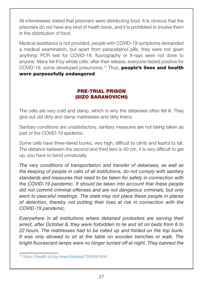<span id="page-26-0"></span>All interviewees stated that prisoners were distributing food. It is obvious that the prisoners do not have any kind of health book, and it is prohibited to involve them in the distribution of food.

Medical assistance is not provided, people with COVID-19 symptoms demanded a medical examination, but apart from paracetamol pills, they were not given anything. PCR test for COVID-19, fluorography or X-rays were not done to anyone. Many fell ill by whole cells: after their release, everyone tested positive for COVID-19, some developed pneumonia.<sup>17</sup> Thus, **people's lives and health** were purposefully endangered.

#### Pre-trial prison (SIZO Baranovichi)

The cells are very cold and damp, which is why the detainees often fell ill. They give out old dirty and damp mattresses and dirty linens.

Sanitary conditions are unsatisfactory, sanitary measures are not being taken as part of the COVID-19 epidemic.

Some cells have three-tiered bunks, very high, difficult to climb and fearful to fall. The distance between the second and third tiers is 40 cm, it is very difficult to get up, you have to bend unnaturally.

*The very conditions of transportation and transfer of detainees, as well as the keeping of people in cells of all institutions, do not comply with sanitary standards and measures that need to be taken for safety in connection with the COVID-19 pandemic. It should be taken into account that these people did not commit criminal offenses and are not dangerous criminals, but only went to peaceful meetings. The state may not place these people in places of detention, thereby not putting their lives at risk in connection with the COVID-19 pandemic.*

*Everywhere in all institutions where detained protesters are serving their arrest, after October 8, they were forbidden to lie and sit on beds from 6 to 22 hours. The mattresses had to be rolled up and folded on the top bunk. It was only allowed to sit at the table on wooden benches or walk. The bright fluorescent lamps were no longer turned off at night. They banned the* 

<sup>17</sup> <https://health.tut.by/news/disease/709459.html>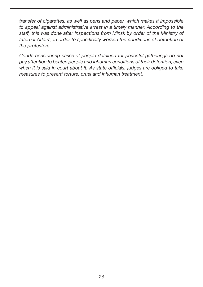*transfer of cigarettes, as well as pens and paper, which makes it impossible to appeal against administrative arrest in a timely manner. According to the staff, this was done after inspections from Minsk by order of the Ministry of Internal Affairs, in order to specifically worsen the conditions of detention of the protesters.* 

*Courts considering cases of people detained for peaceful gatherings do not pay attention to beaten people and inhuman conditions of their detention, even when it is said in court about it. As state officials, judges are obliged to take measures to prevent torture, cruel and inhuman treatment.*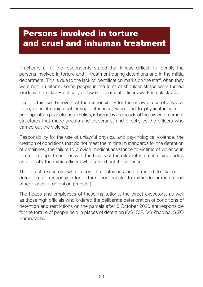## <span id="page-28-0"></span>Persons involved in torture and cruel and inhuman treatment

Practically all of the respondents stated that it was difficult to identify the persons involved in torture and ill-treatment during detentions and in the militia department. This is due to the lack of identification marks on the staff, often they were not in uniform, some people in the form of shoulder straps were turned inside with marks. Practically all law enforcement officers work in balaclavas.

Despite this, we believe that the responsibility for the unlawful use of physical force, special equipment during detentions, which led to physical injuries of participants in peaceful assemblies, is borne by the heads of the law enforcement structures that made arrests and dispersals, and directly by the officers who carried out the violence.

Responsibility for the use of unlawful physical and psychological violence, the creation of conditions that do not meet the minimum standards for the detention of detainees, the failure to provide medical assistance to victims of violence in the militia department lies with the heads of the relevant internal affairs bodies and directly the militia officers who carried out the violence.

The direct executors who escort the detainees and arrested to places of detention are responsible for torture upon transfer to militia departments and other places of detention (transfer).

The heads and employees of these institutions, the direct executors, as well as those high officials who ordered the deliberate deterioration of conditions of detention and restrictions on the parcels after 8 October 2020 are responsible for the torture of people held in places of detention (IVS, CIP, IVS Zhodino, SIZO Baranovichi.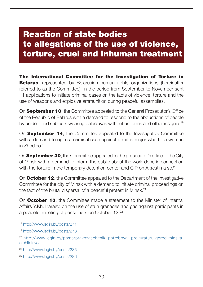## <span id="page-29-0"></span>Reaction of state bodies to allegations of the use of violence, torture, cruel and inhuman treatment

The International Committee for the Investigation of Torture in **Belarus**, represented by Belarusian human rights organizations (hereinafter referred to as the Committee), in the period from September to November sent 11 applications to initiate criminal cases on the facts of violence, torture and the use of weapons and explosive ammunition during peaceful assemblies.

On **September 10**, the Committee appealed to the General Prosecutor's Office of the Republic of Belarus with a demand to respond to the abductions of people by unidentified subjects wearing balaclavas without uniforms and other insignia.18

On **September 14**, the Committee appealed to the Investigative Committee with a demand to open a criminal case against a militia major who hit a woman in Zhodino.19

On **September 30**, the Committee appealed to the prosecutor's office of the City of Minsk with a demand to inform the public about the work done in connection with the torture in the temporary detention center and CIP on Akrestin a str.<sup>20</sup>

On **October 12**, the Committee appealed to the Department of the Investigative Committee for the city of Minsk with a demand to initiate criminal proceedings on the fact of the brutal dispersal of a peaceful protest in Minsk.<sup>21</sup>

On **October 13**, the Committee made a statement to the Minister of Internal Affairs Y.Kh. Karaev. on the use of stun grenades and gas against participants in a peaceful meeting of pensioners on October 12.22

<sup>22</sup> <http://www.legin.by/posts/286>

<sup>18</sup> <http://www.legin.by/posts/271>

<sup>19</sup> <http://www.legin.by/posts/273>

<sup>20</sup> http://www.legin.by/posts/pravozaschitniki-potrebovali-prokuraturu-gorod-minskaotchitatsyaa

<sup>21</sup> <http://www.legin.by/posts/285>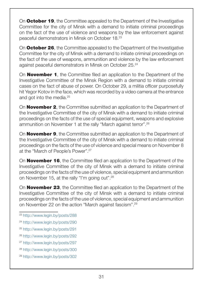On **October 19**, the Committee appealed to the Department of the Investigative Committee for the city of Minsk with a demand to initiate criminal proceedings on the fact of the use of violence and weapons by the law enforcement against peaceful demonstrators in Minsk on October 18.23

On **October 26**, the Committee appealed to the Department of the Investigative Committee for the city of Minsk with a demand to initiate criminal proceedings on the fact of the use of weapons, ammunition and violence by the law enforcement against peaceful demonstrators in Minsk on October 25.24

On **November 1**, the Committee filed an application to the Department of the Investigative Committee of the Minsk Region with a demand to initiate criminal cases on the fact of abuse of power. On October 29, a militia officer purposefully hit Yegor Kotov in the face, which was recorded by a video camera at the entrance and got into the media.<sup>25</sup>

On **November 2**, the Committee submitted an application to the Department of the Investigative Committee of the city of Minsk with a demand to initiate criminal proceedings on the facts of the use of special equipment, weapons and explosive ammunition on November 1 at the rally "March against terror".26

On **November 9**, the Committee submitted an application to the Department of the Investigative Committee of the city of Minsk with a demand to initiate criminal proceedings on the facts of the use of violence and special means on November 8 at the "March of People's Power".27

On **November 16**, the Committee filed an application to the Department of the Investigative Committee of the city of Minsk with a demand to initiate criminal proceedings on the facts of the use of violence, special equipment and ammunition on November 15, at the rally "I'm going out".28

On **November 23**, the Committee filed an application to the Department of the Investigative Committee of the city of Minsk with a demand to initiate criminal proceedings on the facts of the use of violence, special equipment and ammunition on November 22 on the action "March against fascism".29

- <sup>23</sup> <http://www.legin.by/posts/288>
- <sup>24</sup> <http://www.legin.by/posts/290>
- <sup>25</sup> <http://www.legin.by/posts/291>
- <sup>26</sup> <http://www.legin.by/posts/292>
- <sup>27</sup> <http://www.legin.by/posts/297>
- <sup>28</sup> <http://www.legin.by/posts/300>
- <sup>29</sup> <http://www.legin.by/posts/302>